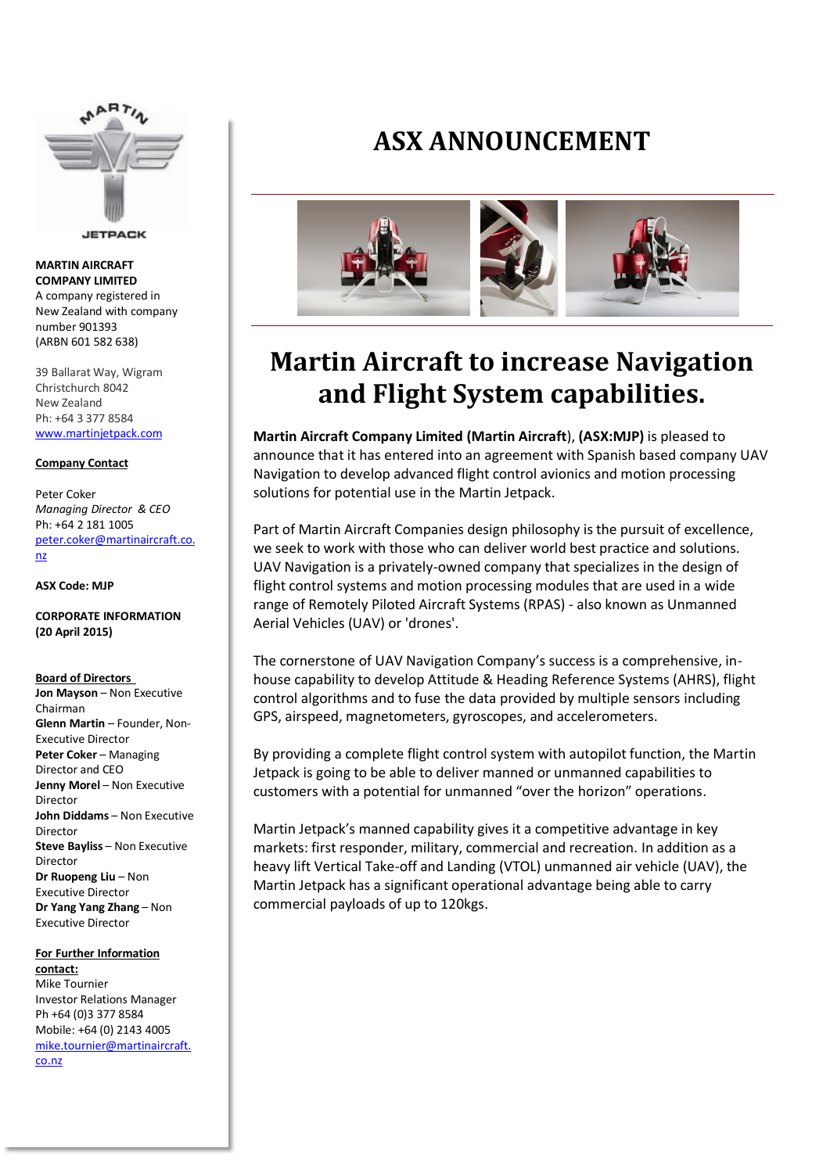

**JETPACK** 

**MARTIN AIRCRAFT COMPANY LIMITED** A company registered in New Zealand with company number 901393 (ARBN 601 582 638)

39 Ballarat Way, Wigram Christchurch 8042 New Zealand Ph: +64 3 377 8584 [www.martinjetpack.com](http://www.martinjetpack.com/)

#### **Company Contact**

Peter Coker *Managing Director & CEO* Ph: +64 2 181 1005 [peter.coker@martinaircraft.co.](mailto:peter.coker@martinaircraft.co.nz) [nz](mailto:peter.coker@martinaircraft.co.nz)

**ASX Code: MJP**

**CORPORATE INFORMATION (20 April 2015)** 

#### **Board of Directors**

**Jon Mayson** – Non Executive Chairman **Glenn Martin** – Founder, Non-Executive Director **Peter Coker** – Managing Director and CEO **Jenny Morel** – Non Executive Director **John Diddams** – Non Executive Director **Steve Bayliss** – Non Executive Director **Dr Ruopeng Liu** – Non Executive Director **Dr Yang Yang Zhang** – Non Executive Director

### **For Further Information contact:**

Mike Tournier Investor Relations Manager Ph +64 (0)3 377 8584 Mobile: +64 (0) 2143 4005 [mike.tournier@martinaircraft.](mailto:mike.tournier@martinaircraft.co.nz) [co.nz](mailto:mike.tournier@martinaircraft.co.nz)

# **ASX ANNOUNCEMENT**



# **Martin Aircraft to increase Navigation and Flight System capabilities.**

**Martin Aircraft Company Limited (Martin Aircraft**), **(ASX:MJP)** is pleased to announce that it has entered into an agreement with Spanish based company UAV Navigation to develop advanced flight control avionics and motion processing solutions for potential use in the Martin Jetpack.

Part of Martin Aircraft Companies design philosophy is the pursuit of excellence, we seek to work with those who can deliver world best practice and solutions. UAV Navigation is a privately-owned company that specializes in the design of flight control systems and motion processing modules that are used in a wide range of Remotely Piloted Aircraft Systems (RPAS) - also known as Unmanned Aerial Vehicles (UAV) or 'drones'.

The cornerstone of UAV Navigation Company's success is a comprehensive, inhouse capability to develop Attitude & Heading Reference Systems (AHRS), flight control algorithms and to fuse the data provided by multiple sensors including GPS, airspeed, magnetometers, gyroscopes, and accelerometers.

By providing a complete flight control system with autopilot function, the Martin Jetpack is going to be able to deliver manned or unmanned capabilities to customers with a potential for unmanned "over the horizon" operations.

Martin Jetpack's manned capability gives it a competitive advantage in key markets: first responder, military, commercial and recreation. In addition as a heavy lift Vertical Take-off and Landing (VTOL) unmanned air vehicle (UAV), the Martin Jetpack has a significant operational advantage being able to carry commercial payloads of up to 120kgs.